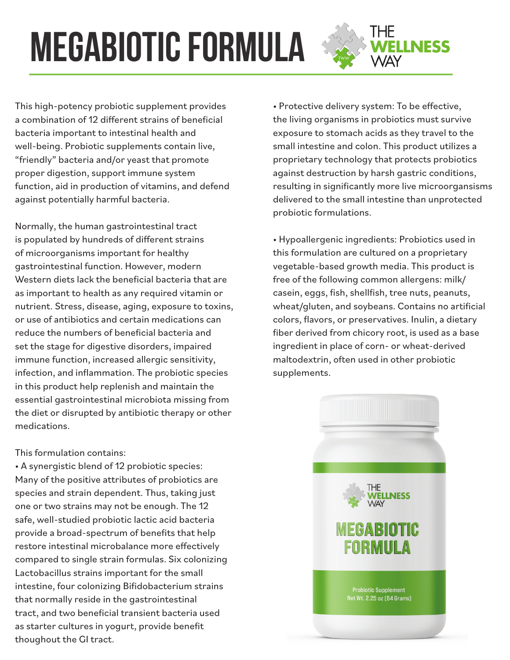## **megabiotic formula**

This high-potency probiotic supplement provides a combination of 12 different strains of beneficial bacteria important to intestinal health and well-being. Probiotic supplements contain live, "friendly" bacteria and/or yeast that promote proper digestion, support immune system function, aid in production of vitamins, and defend against potentially harmful bacteria.

Normally, the human gastrointestinal tract is populated by hundreds of different strains of microorganisms important for healthy gastrointestinal function. However, modern Western diets lack the beneficial bacteria that are as important to health as any required vitamin or nutrient. Stress, disease, aging, exposure to toxins, or use of antibiotics and certain medications can reduce the numbers of beneficial bacteria and set the stage for digestive disorders, impaired immune function, increased allergic sensitivity, infection, and inflammation. The probiotic species in this product help replenish and maintain the essential gastrointestinal microbiota missing from the diet or disrupted by antibiotic therapy or other medications.

## This formulation contains:

• A synergistic blend of 12 probiotic species: Many of the positive attributes of probiotics are species and strain dependent. Thus, taking just one or two strains may not be enough. The 12 safe, well-studied probiotic lactic acid bacteria provide a broad-spectrum of benefits that help restore intestinal microbalance more effectively compared to single strain formulas. Six colonizing Lactobacillus strains important for the small intestine, four colonizing Bifidobacterium strains that normally reside in the gastrointestinal tract, and two beneficial transient bacteria used as starter cultures in yogurt, provide benefit thoughout the GI tract.

• Protective delivery system: To be effective, the living organisms in probiotics must survive exposure to stomach acids as they travel to the small intestine and colon. This product utilizes a proprietary technology that protects probiotics against destruction by harsh gastric conditions, resulting in significantly more live microorgansisms delivered to the small intestine than unprotected probiotic formulations.

THE<br>**WELLNESS**<br>WAY

• Hypoallergenic ingredients: Probiotics used in this formulation are cultured on a proprietary vegetable-based growth media. This product is free of the following common allergens: milk/ casein, eggs, fish, shellfish, tree nuts, peanuts, wheat/gluten, and soybeans. Contains no artificial colors, flavors, or preservatives. Inulin, a dietary fiber derived from chicory root, is used as a base ingredient in place of corn- or wheat-derived maltodextrin, often used in other probiotic supplements.